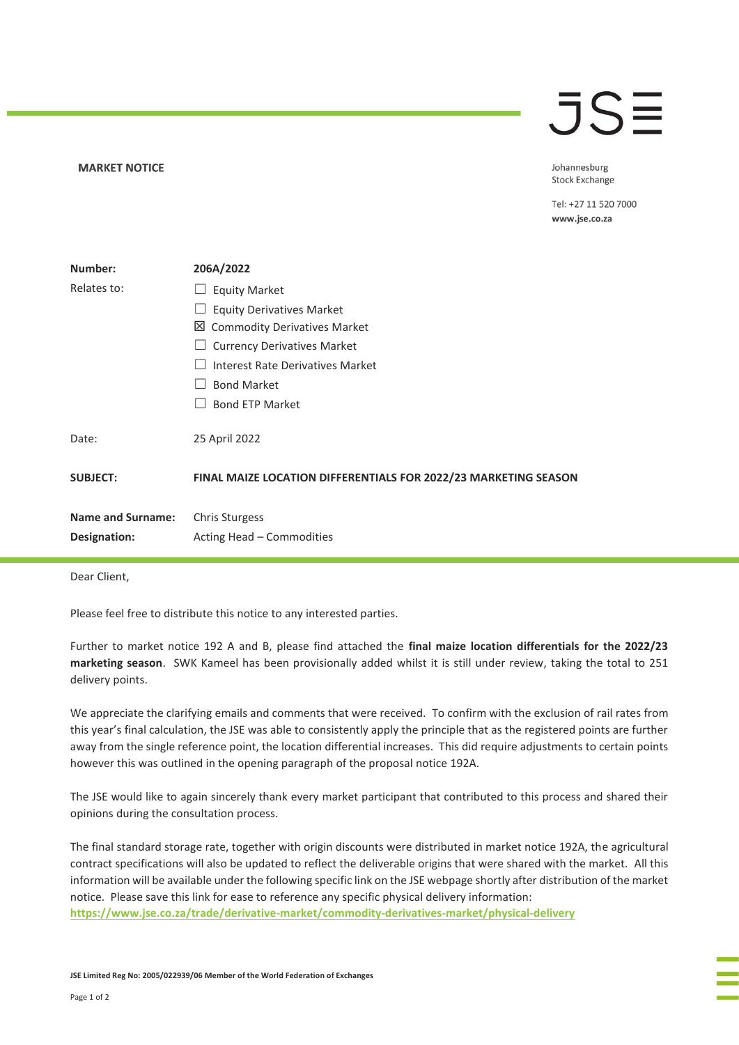## **MARKET NOTICE**

## $\overline{\mathsf{J}}\mathsf{S}\mathsf{\Xi}$

Johannesburg **Stock Exchange** 

Tel: +27 11 520 7000 www.jse.co.za

| Number:                  | 206A/2022                                                       |
|--------------------------|-----------------------------------------------------------------|
| Relates to:              | <b>Equity Market</b><br>$\Box$                                  |
|                          | <b>Equity Derivatives Market</b>                                |
|                          | 凶 Commodity Derivatives Market                                  |
|                          | <b>Currency Derivatives Market</b>                              |
|                          | Interest Rate Derivatives Market                                |
|                          | <b>Bond Market</b>                                              |
|                          | <b>Bond ETP Market</b>                                          |
| Date:                    | 25 April 2022                                                   |
| <b>SUBJECT:</b>          | FINAL MAIZE LOCATION DIFFERENTIALS FOR 2022/23 MARKETING SEASON |
| <b>Name and Surname:</b> | <b>Chris Sturgess</b>                                           |
| Designation:             | Acting Head - Commodities                                       |

Dear Client,

Please feel free to distribute this notice to any interested parties.

Further to market notice 192 A and B, please find attached the **final maize location differentials for the 2022/23 marketing season**. SWK Kameel has been provisionally added whilst it is still under review, taking the total to 251 delivery points.

We appreciate the clarifying emails and comments that were received. To confirm with the exclusion of rail rates from this year's final calculation, the JSE was able to consistently apply the principle that as the registered points are further away from the single reference point, the location differential increases. This did require adjustments to certain points however this was outlined in the opening paragraph of the proposal notice 192A.

The JSE would like to again sincerely thank every market participant that contributed to this process and shared their opinions during the consultation process.

The final standard storage rate, together with origin discounts were distributed in market notice 192A, the agricultural contract specifications will also be updated to reflect the deliverable origins that were shared with the market. All this information will be available under the following specific link on the JSE webpage shortly after distribution of the market notice. Please save this link for ease to reference any specific physical delivery information:

**[https://www.jse.co.za/trade/derivative-market/commodity-derivatives-market/physical-delivery](https://eur02.safelinks.protection.outlook.com/?url=https%3A%2F%2Fwww.jse.co.za%2Ftrade%2Fderivative-market%2Fcommodity-derivatives-market%2Fphysical-delivery&data=05%7C01%7CchrisS%40jse.co.za%7C6307e8123e2949e04adc08da22e0b856%7Ccffa664075724f059c64cd88068c19d4%7C0%7C0%7C637860645878908941%7CUnknown%7CTWFpbGZsb3d8eyJWIjoiMC4wLjAwMDAiLCJQIjoiV2luMzIiLCJBTiI6Ik1haWwiLCJXVCI6Mn0%3D%7C3000%7C%7C%7C&sdata=ULD6P6Ul%2FlkPg%2BC8zYJ1i3I5QTinJaNH%2FEtZUg%2FiskQ%3D&reserved=0)**